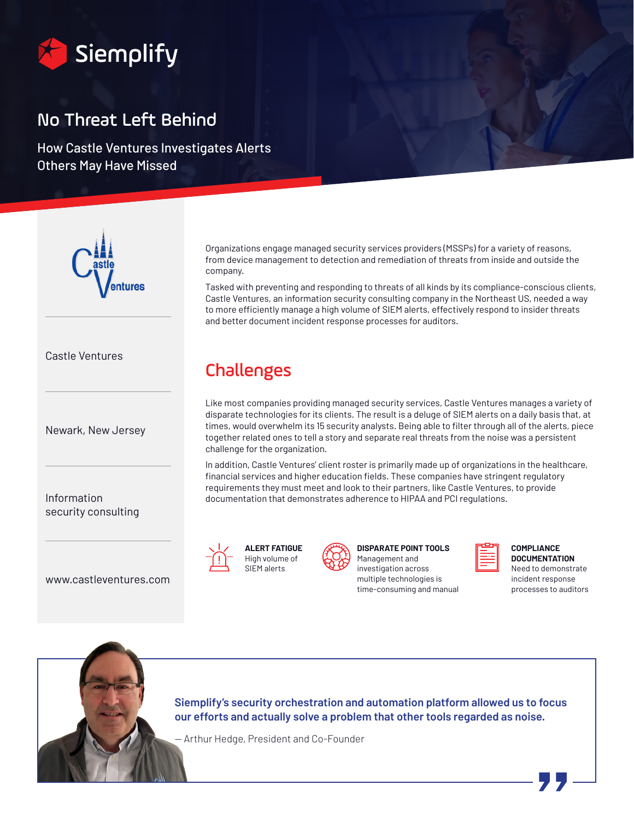

# No Threat Left Behind

How Castle Ventures Investigates Alerts Others May Have Missed



Castle Ventures

Newark, New Jersey

Information security consulting

www.castleventures.com



Challenges

company.



and better document incident response processes for auditors.

**DISPARATE POINT TOOLS**  Management and investigation across multiple technologies is time-consuming and manual



**COMPLIANCE DOCUMENTATION** Need to demonstrate incident response processes to auditors



**Siemplify's security orchestration and automation platform allowed us to focus our efforts and actually solve a problem that other tools regarded as noise.** 

— Arthur Hedge, President and Co-Founder

Organizations engage managed security services providers (MSSPs) for a variety of reasons, from device management to detection and remediation of threats from inside and outside the

Tasked with preventing and responding to threats of all kinds by its compliance-conscious clients, Castle Ventures, an information security consulting company in the Northeast US, needed a way to more efficiently manage a high volume of SIEM alerts, effectively respond to insider threats

Like most companies providing managed security services, Castle Ventures manages a variety of disparate technologies for its clients. The result is a deluge of SIEM alerts on a daily basis that, at times, would overwhelm its 15 security analysts. Being able to filter through all of the alerts, piece together related ones to tell a story and separate real threats from the noise was a persistent challenge for the organization.

In addition, Castle Ventures' client roster is primarily made up of organizations in the healthcare, financial services and higher education fields. These companies have stringent regulatory requirements they must meet and look to their partners, like Castle Ventures, to provide documentation that demonstrates adherence to HIPAA and PCI regulations.